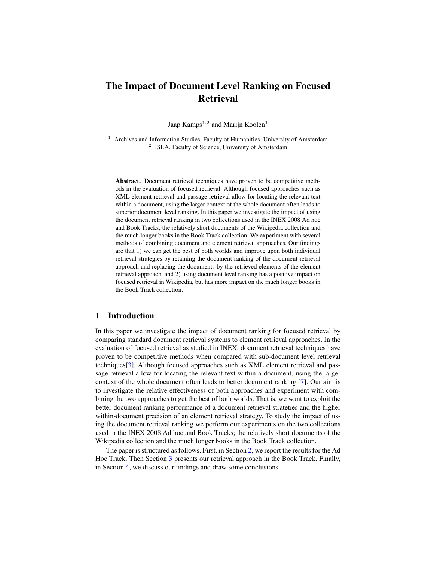# The Impact of Document Level Ranking on Focused Retrieval

Jaap Kamps $^{1,2}$  and Marijn Koolen $^1$ 

 $1$  Archives and Information Studies, Faculty of Humanities, University of Amsterdam <sup>2</sup> ISLA, Faculty of Science, University of Amsterdam

Abstract. Document retrieval techniques have proven to be competitive methods in the evaluation of focused retrieval. Although focused approaches such as XML element retrieval and passage retrieval allow for locating the relevant text within a document, using the larger context of the whole document often leads to superior document level ranking. In this paper we investigate the impact of using the document retrieval ranking in two collections used in the INEX 2008 Ad hoc and Book Tracks; the relatively short documents of the Wikipedia collection and the much longer books in the Book Track collection. We experiment with several methods of combining document and element retrieval approaches. Our findings are that 1) we can get the best of both worlds and improve upon both individual retrieval strategies by retaining the document ranking of the document retrieval approach and replacing the documents by the retrieved elements of the element retrieval approach, and 2) using document level ranking has a positive impact on focused retrieval in Wikipedia, but has more impact on the much longer books in the Book Track collection.

# 1 Introduction

In this paper we investigate the impact of document ranking for focused retrieval by comparing standard document retrieval systems to element retrieval approaches. In the evaluation of focused retrieval as studied in INEX, document retrieval techniques have proven to be competitive methods when compared with sub-document level retrieval techniques[\[3\]](#page-11-0). Although focused approaches such as XML element retrieval and passage retrieval allow for locating the relevant text within a document, using the larger context of the whole document often leads to better document ranking [\[7\]](#page-11-1). Our aim is to investigate the relative effectiveness of both approaches and experiment with combining the two approaches to get the best of both worlds. That is, we want to exploit the better document ranking performance of a document retrieval strateties and the higher within-document precision of an element retrieval strategy. To study the impact of using the document retrieval ranking we perform our experiments on the two collections used in the INEX 2008 Ad hoc and Book Tracks; the relatively short documents of the Wikipedia collection and the much longer books in the Book Track collection.

The paper is structured as follows. First, in Section [2,](#page-1-0) we report the results for the Ad Hoc Track. Then Section [3](#page-6-0) presents our retrieval approach in the Book Track. Finally, in Section [4,](#page-10-0) we discuss our findings and draw some conclusions.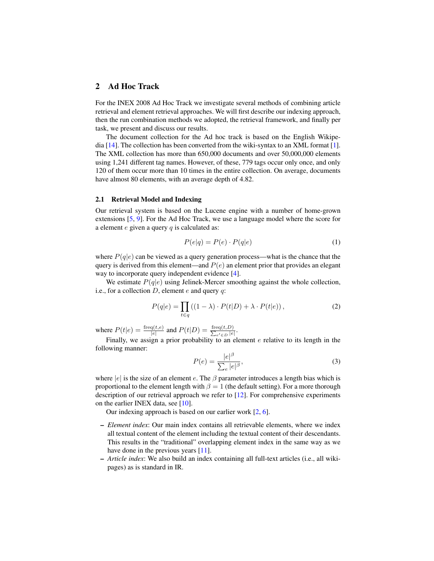# <span id="page-1-0"></span>2 Ad Hoc Track

For the INEX 2008 Ad Hoc Track we investigate several methods of combining article retrieval and element retrieval approaches. We will first describe our indexing approach, then the run combination methods we adopted, the retrieval framework, and finally per task, we present and discuss our results.

The document collection for the Ad hoc track is based on the English Wikipedia [\[14\]](#page-11-2). The collection has been converted from the wiki-syntax to an XML format [\[1\]](#page-11-3). The XML collection has more than 650,000 documents and over 50,000,000 elements using 1,241 different tag names. However, of these, 779 tags occur only once, and only 120 of them occur more than 10 times in the entire collection. On average, documents have almost 80 elements, with an average depth of 4.82.

#### 2.1 Retrieval Model and Indexing

Our retrieval system is based on the Lucene engine with a number of home-grown extensions [\[5,](#page-11-4) [9\]](#page-11-5). For the Ad Hoc Track, we use a language model where the score for a element  $e$  given a query  $q$  is calculated as:

$$
P(e|q) = P(e) \cdot P(q|e)
$$
 (1)

where  $P(q|e)$  can be viewed as a query generation process—what is the chance that the query is derived from this element—and  $P(e)$  an element prior that provides an elegant way to incorporate query independent evidence [\[4\]](#page-11-6).

We estimate  $P(q|e)$  using Jelinek-Mercer smoothing against the whole collection, i.e., for a collection  $D$ , element  $e$  and query  $q$ :

$$
P(q|e) = \prod_{t \in q} ((1 - \lambda) \cdot P(t|D) + \lambda \cdot P(t|e)), \qquad (2)
$$

where  $P(t|e) = \frac{\text{freq}(t,e)}{|e|}$  and  $P(t|D) = \frac{\text{freq}(t,D)}{\sum_{e \in E} |e|}$  $\frac{\operatorname{eq}(t,D)}{e'\in D}$ .

Finally, we assign a prior probability to an element  $e$  relative to its length in the following manner:

$$
P(e) = \frac{|e|^{\beta}}{\sum_{e} |e|^{\beta}},\tag{3}
$$

where |e| is the size of an element e. The  $\beta$  parameter introduces a length bias which is proportional to the element length with  $\beta = 1$  (the default setting). For a more thorough description of our retrieval approach we refer to [\[12\]](#page-11-7). For comprehensive experiments on the earlier INEX data, see [\[10\]](#page-11-8).

Our indexing approach is based on our earlier work [\[2,](#page-11-9) [6\]](#page-11-10).

- *Element index*: Our main index contains all retrievable elements, where we index all textual content of the element including the textual content of their descendants. This results in the "traditional" overlapping element index in the same way as we have done in the previous years [\[11\]](#page-11-11).
- *Article index*: We also build an index containing all full-text articles (i.e., all wikipages) as is standard in IR.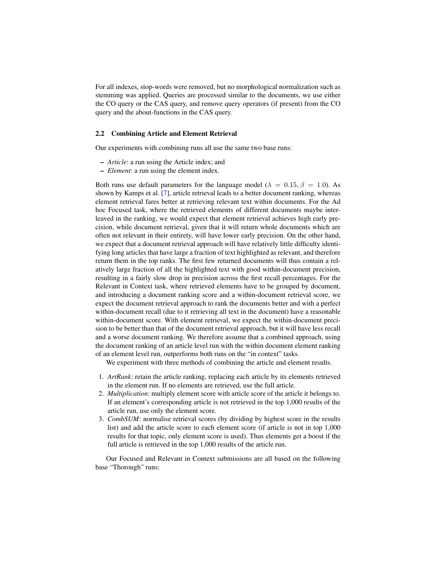For all indexes, stop-words were removed, but no morphological normalization such as stemming was applied. Queries are processed similar to the documents, we use either the CO query or the CAS query, and remove query operators (if present) from the CO query and the about-functions in the CAS query.

#### 2.2 Combining Article and Element Retrieval

Our experiments with combining runs all use the same two base runs:

- *Article*: a run using the Article index; and
- *Element*: a run using the element index.

Both runs use default parameters for the language model ( $\lambda = 0.15$ ,  $\beta = 1.0$ ). As shown by Kamps et al. [\[7\]](#page-11-1), article retrieval leads to a better document ranking, whereas element retrieval fares better at retrieving relevant text within documents. For the Ad hoc Focused task, where the retrieved elements of different documents maybe interleaved in the ranking, we would expect that element retrieval achieves high early precision, while document retrieval, given that it will return whole documents which are often not relevant in their entirety, will have lower early precision. On the other hand, we expect that a document retrieval approach will have relatively little difficulty identifying long articles that have large a fraction of text highlighted as relevant, and therefore return them in the top ranks. The first few returned documents will thus contain a relatively large fraction of all the highlighted text with good within-document precision, resulting in a fairly slow drop in precision across the first recall percentages. For the Relevant in Context task, where retrieved elements have to be grouped by document, and introducing a document ranking score and a within-document retrieval score, we expect the document retrieval approach to rank the documents better and with a perfect within-document recall (due to it retrieving all text in the document) have a reasonable within-document score. With element retrieval, we expect the within-document precision to be better than that of the document retrieval approach, but it will have less recall and a worse document ranking. We therefore assume that a combined approach, using the document ranking of an article level run with the within document element ranking of an element level run, outperforms both runs on the "in context" tasks.

We experiment with three methods of combining the article and element results.

- 1. *ArtRank*: retain the article ranking, replacing each article by its elements retrieved in the element run. If no elements are retrieved, use the full article.
- 2. *Multiplication*: multiply element score with article score of the article it belongs to. If an element's corresponding article is not retrieved in the top 1,000 results of the article run, use only the element score.
- 3. *CombSUM*: normalise retrieval scores (by dividing by highest score in the results list) and add the article score to each element score (if article is not in top 1,000 results for that topic, only element score is used). Thus elements get a boost if the full article is retrieved in the top 1,000 results of the article run.

Our Focused and Relevant in Context submissions are all based on the following base "Thorough" runs: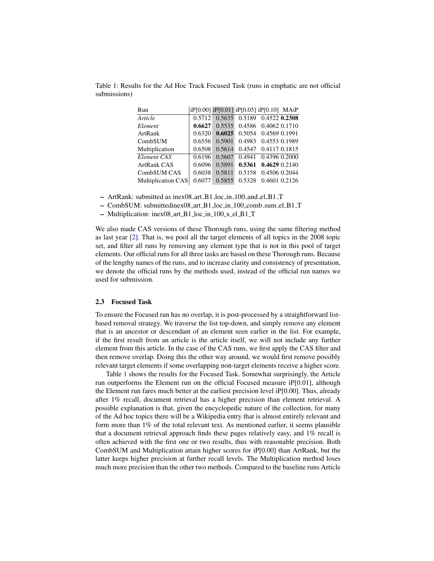|  | Run                |        |        |        | iP[0.00] iP[0.01] iP[0.05] iP[0.10] MAiP |  |
|--|--------------------|--------|--------|--------|------------------------------------------|--|
|  | Article            | 0.5712 |        |        | 0.5635 0.5189 0.4522 0.2308              |  |
|  | Element            | 0.6627 | 0.5535 |        | 0.4586 0.4062 0.1710                     |  |
|  | <b>ArtRank</b>     | 0.6320 | 0.6025 |        | 0.5054 0.4569 0.1991                     |  |
|  | CombSUM            | 0.6556 | 0.5901 |        | 0.4983 0.4553 0.1989                     |  |
|  | Multiplication     | 0.6508 | 0.5614 |        | 0.4547 0.4117 0.1815                     |  |
|  | Element CAS        | 0.6196 | 0.5607 | 0.4941 | 0.4396 0.2000                            |  |
|  | <b>ArtRank CAS</b> | 0.6096 | 0.5891 | 0.5361 | 0.4629 0.2140                            |  |
|  | CombSUM CAS        | 0.6038 | 0.5811 | 0.5158 | 0.4506 0.2044                            |  |
|  | Multiplication CAS | 0.6077 | 0.5855 | 0.5328 | 0.4601 0.2126                            |  |
|  |                    |        |        |        |                                          |  |

<span id="page-3-0"></span>Table 1: Results for the Ad Hoc Track Focused Task (runs in emphatic are not official submissions)

– ArtRank: submitted as inex08 art B1 loc in 100 and el B1 T

- CombSUM: submittedinex08 art B1 loc in 100 comb sum el B1 T
- Multiplication: inex08 art B1 loc in 100 x el B1 T

We also made CAS versions of these Thorough runs, using the same filtering method as last year [\[2\]](#page-11-9). That is, we pool all the target elements of all topics in the 2008 topic set, and filter all runs by removing any element type that is not in this pool of target elements. Our official runs for all three tasks are based on these Thorough runs. Because of the lengthy names of the runs, and to increase clarity and consistency of presentation, we denote the official runs by the methods used, instead of the official run names we used for submission.

#### <span id="page-3-1"></span>2.3 Focused Task

To ensure the Focused run has no overlap, it is post-processed by a straightforward listbased removal strategy. We traverse the list top-down, and simply remove any element that is an ancestor or descendant of an element seen earlier in the list. For example, if the first result from an article is the article itself, we will not include any further element from this article. In the case of the CAS runs, we first apply the CAS filter and then remove overlap. Doing this the other way around, we would first remove possibly relevant target elements if some overlapping non-target elements receive a higher score.

Table [1](#page-3-0) shows the results for the Focused Task. Somewhat surprisingly, the Article run outperforms the Element run on the official Focused measure iP[0.01], although the Element run fares much better at the earliest precision level iP[0.00]. Thus, already after 1% recall, document retrieval has a higher precision than element retrieval. A possible explanation is that, given the encyclopedic nature of the collection, for many of the Ad hoc topics there will be a Wikipedia entry that is almost entirely relevant and form more than 1% of the total relevant text. As mentioned earlier, it seems plausible that a document retrieval approach finds these pages relatively easy, and 1% recall is often achieved with the first one or two results, thus with reasonable precision. Both CombSUM and Multiplication attain higher scores for iP[0.00] than ArtRank, but the latter keeps higher precision at further recall levels. The Multiplication method loses much more precision than the other two methods. Compared to the baseline runs Article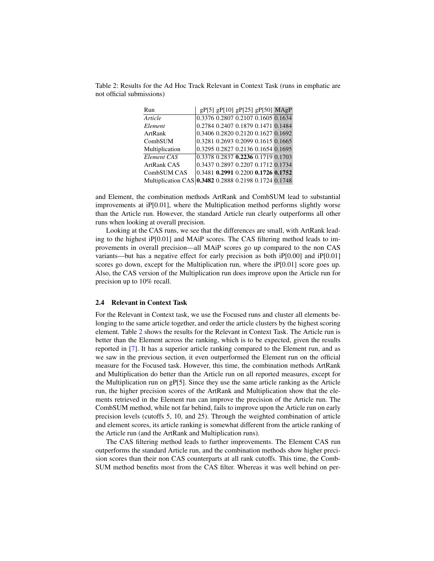| Run                | gP[5] gP[10] gP[25] gP[50] MAgP                       |  |
|--------------------|-------------------------------------------------------|--|
| Article            | 0.3376 0.2807 0.2107 0.1605 0.1634                    |  |
| Element            | 0.2784 0.2407 0.1879 0.1471 0.1484                    |  |
| ArtRank            | 0.3406 0.2820 0.2120 0.1627 0.1692                    |  |
| CombSUM            | 0.3281 0.2693 0.2099 0.1615 0.1665                    |  |
| Multiplication     | 0.3295 0.2827 0.2136 0.1654 0.1695                    |  |
| <b>Element CAS</b> | 0.3378 0.2837 0.2236 0.1719 0.1703                    |  |
| ArtRank CAS        | 0.3437 0.2897 0.2207 0.1712 0.1734                    |  |
| CombSUM CAS        | $0.3481$ 0.2991 0.2200 0.1726 0.1752                  |  |
|                    | Multiplication CAS 0.3482 0.2888 0.2198 0.1724 0.1748 |  |

<span id="page-4-0"></span>Table 2: Results for the Ad Hoc Track Relevant in Context Task (runs in emphatic are not official submissions)

and Element, the combination methods ArtRank and CombSUM lead to substantial improvements at iP[0.01], where the Multiplication method performs slightly worse than the Article run. However, the standard Article run clearly outperforms all other runs when looking at overall precision.

Looking at the CAS runs, we see that the differences are small, with ArtRank leading to the highest iP[0.01] and MAiP scores. The CAS filtering method leads to improvements in overall precision—all MAiP scores go up compared to the non CAS variants—but has a negative effect for early precision as both iP[0.00] and iP[0.01] scores go down, except for the Multiplication run, where the iP[0.01] score goes up. Also, the CAS version of the Multiplication run does improve upon the Article run for precision up to 10% recall.

#### <span id="page-4-1"></span>2.4 Relevant in Context Task

For the Relevant in Context task, we use the Focused runs and cluster all elements belonging to the same article together, and order the article clusters by the highest scoring element. Table [2](#page-4-0) shows the results for the Relevant in Context Task. The Article run is better than the Element across the ranking, which is to be expected, given the results reported in [\[7\]](#page-11-1). It has a superior article ranking compared to the Element run, and as we saw in the previous section, it even outperformed the Element run on the official measure for the Focused task. However, this time, the combination methods ArtRank and Multiplication do better than the Article run on all reported measures, except for the Multiplication run on gP[5]. Since they use the same article ranking as the Article run, the higher precision scores of the ArtRank and Multiplication show that the elements retrieved in the Element run can improve the precision of the Article run. The CombSUM method, while not far behind, fails to improve upon the Article run on early precision levels (cutoffs 5, 10, and 25). Through the weighted combination of article and element scores, its article ranking is somewhat different from the article ranking of the Article run (and the ArtRank and Multiplication runs).

The CAS filtering method leads to further improvements. The Element CAS run outperforms the standard Article run, and the combination methods show higher precision scores than their non CAS counterparts at all rank cutoffs. This time, the Comb-SUM method benefits most from the CAS filter. Whereas it was well behind on per-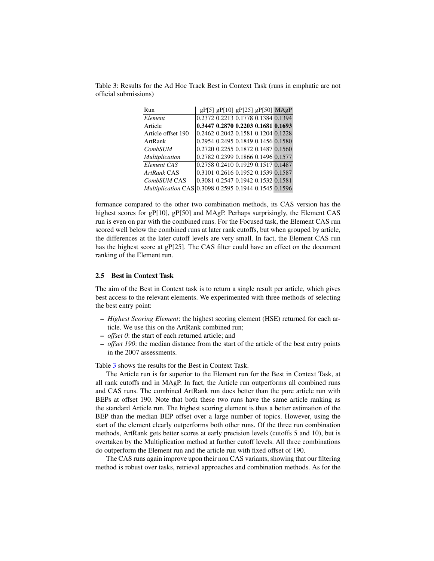| Run                                                          |  | $gP[5]$ gP[10] gP[25] gP[50] MAgP  |  |
|--------------------------------------------------------------|--|------------------------------------|--|
| Element                                                      |  | 0.2372 0.2213 0.1778 0.1384 0.1394 |  |
| Article                                                      |  | 0.3447 0.2870 0.2203 0.1681 0.1693 |  |
| Article offset 190                                           |  | 0.2462 0.2042 0.1581 0.1204 0.1228 |  |
| ArtRank                                                      |  | 0.2954 0.2495 0.1849 0.1456 0.1580 |  |
| <b>CombSUM</b>                                               |  | 0.2720 0.2255 0.1872 0.1487 0.1560 |  |
| <b>Multiplication</b>                                        |  | 0.2782 0.2399 0.1866 0.1496 0.1577 |  |
| Element CAS                                                  |  | 0.2758 0.2410 0.1929 0.1517 0.1487 |  |
| ArtRank CAS                                                  |  | 0.3101 0.2616 0.1952 0.1539 0.1587 |  |
| CombSUM CAS                                                  |  | 0.3081 0.2547 0.1942 0.1532 0.1581 |  |
| <i>Multiplication</i> CAS 0.3098 0.2595 0.1944 0.1545 0.1596 |  |                                    |  |

<span id="page-5-0"></span>Table 3: Results for the Ad Hoc Track Best in Context Task (runs in emphatic are not official submissions)

formance compared to the other two combination methods, its CAS version has the highest scores for gP[10], gP[50] and MAgP. Perhaps surprisingly, the Element CAS run is even on par with the combined runs. For the Focused task, the Element CAS run scored well below the combined runs at later rank cutoffs, but when grouped by article, the differences at the later cutoff levels are very small. In fact, the Element CAS run has the highest score at gP[25]. The CAS filter could have an effect on the document ranking of the Element run.

#### 2.5 Best in Context Task

The aim of the Best in Context task is to return a single result per article, which gives best access to the relevant elements. We experimented with three methods of selecting the best entry point:

- *Highest Scoring Element*: the highest scoring element (HSE) returned for each article. We use this on the ArtRank combined run;
- *offset 0*: the start of each returned article; and
- *offset 190*: the median distance from the start of the article of the best entry points in the 2007 assessments.

Table [3](#page-5-0) shows the results for the Best in Context Task.

The Article run is far superior to the Element run for the Best in Context Task, at all rank cutoffs and in MAgP. In fact, the Article run outperforms all combined runs and CAS runs. The combined ArtRank run does better than the pure article run with BEPs at offset 190. Note that both these two runs have the same article ranking as the standard Article run. The highest scoring element is thus a better estimation of the BEP than the median BEP offset over a large number of topics. However, using the start of the element clearly outperforms both other runs. Of the three run combination methods, ArtRank gets better scores at early precision levels (cutoffs 5 and 10), but is overtaken by the Multiplication method at further cutoff levels. All three combinations do outperform the Element run and the article run with fixed offset of 190.

The CAS runs again improve upon their non CAS variants, showing that our filtering method is robust over tasks, retrieval approaches and combination methods. As for the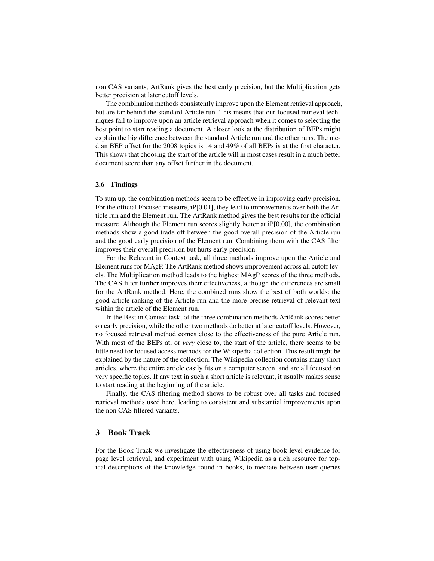non CAS variants, ArtRank gives the best early precision, but the Multiplication gets better precision at later cutoff levels.

The combination methods consistently improve upon the Element retrieval approach, but are far behind the standard Article run. This means that our focused retrieval techniques fail to improve upon an article retrieval approach when it comes to selecting the best point to start reading a document. A closer look at the distribution of BEPs might explain the big difference between the standard Article run and the other runs. The median BEP offset for the 2008 topics is 14 and 49% of all BEPs is at the first character. This shows that choosing the start of the article will in most cases result in a much better document score than any offset further in the document.

#### 2.6 Findings

To sum up, the combination methods seem to be effective in improving early precision. For the official Focused measure,  $iP[0.01]$ , they lead to improvements over both the Article run and the Element run. The ArtRank method gives the best results for the official measure. Although the Element run scores slightly better at  $iP[0.00]$ , the combination methods show a good trade off between the good overall precision of the Article run and the good early precision of the Element run. Combining them with the CAS filter improves their overall precision but hurts early precision.

For the Relevant in Context task, all three methods improve upon the Article and Element runs for MAgP. The ArtRank method shows improvement across all cutoff levels. The Multiplication method leads to the highest MAgP scores of the three methods. The CAS filter further improves their effectiveness, although the differences are small for the ArtRank method. Here, the combined runs show the best of both worlds: the good article ranking of the Article run and the more precise retrieval of relevant text within the article of the Element run.

In the Best in Context task, of the three combination methods ArtRank scores better on early precision, while the other two methods do better at later cutoff levels. However, no focused retrieval method comes close to the effectiveness of the pure Article run. With most of the BEPs at, or *very* close to, the start of the article, there seems to be little need for focused access methods for the Wikipedia collection. This result might be explained by the nature of the collection. The Wikipedia collection contains many short articles, where the entire article easily fits on a computer screen, and are all focused on very specific topics. If any text in such a short article is relevant, it usually makes sense to start reading at the beginning of the article.

Finally, the CAS filtering method shows to be robust over all tasks and focused retrieval methods used here, leading to consistent and substantial improvements upon the non CAS filtered variants.

# <span id="page-6-0"></span>3 Book Track

For the Book Track we investigate the effectiveness of using book level evidence for page level retrieval, and experiment with using Wikipedia as a rich resource for topical descriptions of the knowledge found in books, to mediate between user queries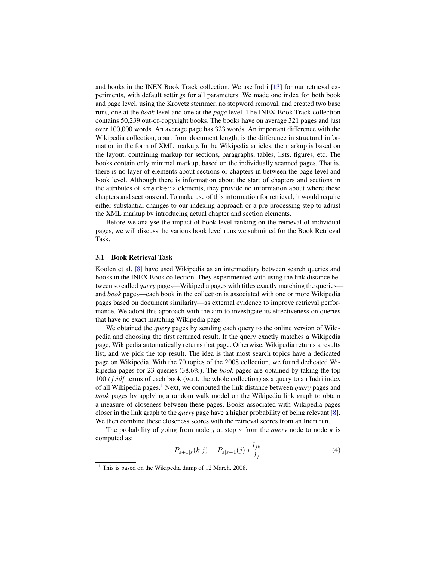and books in the INEX Book Track collection. We use Indri [\[13\]](#page-11-12) for our retrieval experiments, with default settings for all parameters. We made one index for both book and page level, using the Krovetz stemmer, no stopword removal, and created two base runs, one at the *book* level and one at the *page* level. The INEX Book Track collection contains 50,239 out-of-copyright books. The books have on average 321 pages and just over 100,000 words. An average page has 323 words. An important difference with the Wikipedia collection, apart from document length, is the difference in structural information in the form of XML markup. In the Wikipedia articles, the markup is based on the layout, containing markup for sections, paragraphs, tables, lists, figures, etc. The books contain only minimal markup, based on the individually scanned pages. That is, there is no layer of elements about sections or chapters in between the page level and book level. Although there is information about the start of chapters and sections in the attributes of  $\langle$ marker> elements, they provide no information about where these chapters and sections end. To make use of this information for retrieval, it would require either substantial changes to our indexing approach or a pre-processing step to adjust the XML markup by introducing actual chapter and section elements.

Before we analyse the impact of book level ranking on the retrieval of individual pages, we will discuss the various book level runs we submitted for the Book Retrieval Task.

#### 3.1 Book Retrieval Task

Koolen et al. [\[8\]](#page-11-13) have used Wikipedia as an intermediary between search queries and books in the INEX Book collection. They experimented with using the link distance between so called *query* pages—Wikipedia pages with titles exactly matching the queries and *book* pages—each book in the collection is associated with one or more Wikipedia pages based on document similarity—as external evidence to improve retrieval performance. We adopt this approach with the aim to investigate its effectiveness on queries that have no exact matching Wikipedia page.

We obtained the *query* pages by sending each query to the online version of Wikipedia and choosing the first returned result. If the query exactly matches a Wikipedia page, Wikipedia automatically returns that page. Otherwise, Wikipedia returns a results list, and we pick the top result. The idea is that most search topics have a dedicated page on Wikipedia. With the 70 topics of the 2008 collection, we found dedicated Wikipedia pages for 23 queries (38.6%). The *book* pages are obtained by taking the top 100  $tf.idf$  terms of each book (w.r.t. the whole collection) as a query to an Indri index of all Wikipedia pages.[1](#page-7-0) Next, we computed the link distance between *query* pages and *book* pages by applying a random walk model on the Wikipedia link graph to obtain a measure of closeness between these pages. Books associated with Wikipedia pages closer in the link graph to the *query* page have a higher probability of being relevant [\[8\]](#page-11-13). We then combine these closeness scores with the retrieval scores from an Indri run.

The probability of going from node j at step s from the *query* node to node k is computed as:

$$
P_{s+1|s}(k|j) = P_{s|s-1}(j) * \frac{l_{jk}}{l_j}
$$
\n(4)

<span id="page-7-0"></span> $1$  This is based on the Wikipedia dump of 12 March, 2008.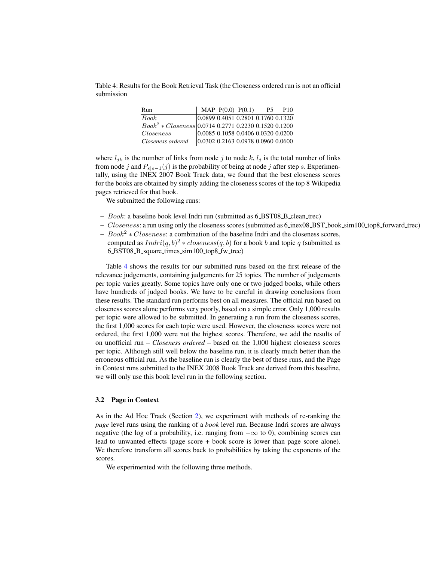<span id="page-8-0"></span>Table 4: Results for the Book Retrieval Task (the Closeness ordered run is not an official submission

| Run                                                                                                                                                                   |                                                                                                                                                      | MAP $P(0.0) P(0.1)$ | <b>P5</b> | P <sub>10</sub> |
|-----------------------------------------------------------------------------------------------------------------------------------------------------------------------|------------------------------------------------------------------------------------------------------------------------------------------------------|---------------------|-----------|-----------------|
|                                                                                                                                                                       |                                                                                                                                                      |                     |           |                 |
| $\begin{tabular}{ l l l } \hline Book & 0.0899\ 0.4051\ 0.2801\ 0.1760\ 0.1320 \\ Book^2* Closeness & 0.0714\ 0.2771\ 0.2230\ 0.1520\ 0.1200 \\ \hline \end{tabular}$ |                                                                                                                                                      |                     |           |                 |
| Closeness                                                                                                                                                             | $\begin{array}{ l l l l } \hline 0.0085 & 0.1058 & 0.0406 & 0.0320 & 0.0200 \\ \hline 0.0302 & 0.2163 & 0.0978 & 0.0960 & 0.0600 \hline \end{array}$ |                     |           |                 |
| Closeness ordered                                                                                                                                                     |                                                                                                                                                      |                     |           |                 |

where  $l_{ik}$  is the number of links from node j to node k,  $l_i$  is the total number of links from node j and  $P_{s|s-1}(j)$  is the probability of being at node j after step s. Experimentally, using the INEX 2007 Book Track data, we found that the best closeness scores for the books are obtained by simply adding the closeness scores of the top 8 Wikipedia pages retrieved for that book.

We submitted the following runs:

- Book: a baseline book level Indri run (submitted as 6 BST08 B clean trec)
- Closeness: a run using only the closeness scores (submitted as 6 inex08 BST book sim100 top8 forward trec)
- $Book<sup>2</sup> * Closeness: a combination of the baseline Indri and the closeness scores,$ computed as  $Indri(q, b)^2 * closeness(q, b)$  for a book b and topic q (submitted as 6 BST08 B square times sim100 top8 fw trec)

Table [4](#page-8-0) shows the results for our submitted runs based on the first release of the relevance judgements, containing judgements for 25 topics. The number of judgements per topic varies greatly. Some topics have only one or two judged books, while others have hundreds of judged books. We have to be careful in drawing conclusions from these results. The standard run performs best on all measures. The official run based on closeness scores alone performs very poorly, based on a simple error. Only 1,000 results per topic were allowed to be submitted. In generating a run from the closeness scores, the first 1,000 scores for each topic were used. However, the closeness scores were not ordered, the first 1,000 were not the highest scores. Therefore, we add the results of on unofficial run – *Closeness ordered* – based on the 1,000 highest closeness scores per topic. Although still well below the baseline run, it is clearly much better than the erroneous official run. As the baseline run is clearly the best of these runs, and the Page in Context runs submitted to the INEX 2008 Book Track are derived from this baseline, we will only use this book level run in the following section.

#### 3.2 Page in Context

As in the Ad Hoc Track (Section [2\)](#page-1-0), we experiment with methods of re-ranking the *page* level runs using the ranking of a *book* level run. Because Indri scores are always negative (the log of a probability, i.e. ranging from  $-\infty$  to 0), combining scores can lead to unwanted effects (page score + book score is lower than page score alone). We therefore transform all scores back to probabilities by taking the exponents of the scores.

We experimented with the following three methods.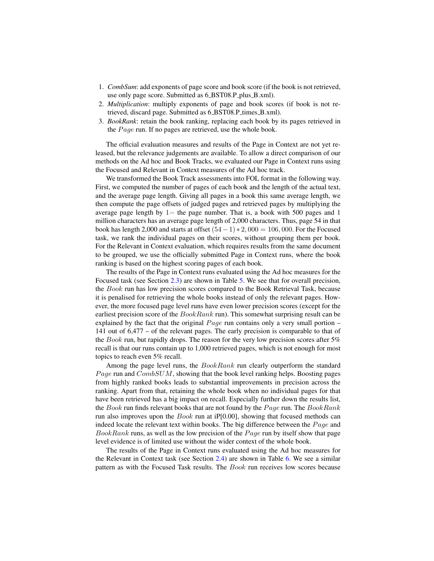- 1. *CombSum*: add exponents of page score and book score (if the book is not retrieved, use only page score. Submitted as  $6\_BST08.P\_plus\_B.xml$ .
- 2. *Multiplication*: multiply exponents of page and book scores (if book is not retrieved, discard page. Submitted as 6 BST08.P times B.xml).
- 3. *BookRank*: retain the book ranking, replacing each book by its pages retrieved in the  $Paqe$  run. If no pages are retrieved, use the whole book.

The official evaluation measures and results of the Page in Context are not yet released, but the relevance judgements are available. To allow a direct comparison of our methods on the Ad hoc and Book Tracks, we evaluated our Page in Context runs using the Focused and Relevant in Context measures of the Ad hoc track.

We transformed the Book Track assessments into FOL format in the following way. First, we computed the number of pages of each book and the length of the actual text, and the average page length. Giving all pages in a book this same average length, we then compute the page offsets of judged pages and retrieved pages by multiplying the average page length by 1− the page number. That is, a book with 500 pages and 1 million characters has an average page length of 2,000 characters. Thus, page 54 in that book has length 2,000 and starts at offset  $(54-1) * 2$ , 000 = 106, 000. For the Focused task, we rank the individual pages on their scores, without grouping them per book. For the Relevant in Context evaluation, which requires results from the same document to be grouped, we use the officially submitted Page in Context runs, where the book ranking is based on the highest scoring pages of each book.

The results of the Page in Context runs evaluated using the Ad hoc measures for the Focused task (see Section [2.3\)](#page-3-1) are shown in Table [5.](#page-10-1) We see that for overall precision, the Book run has low precision scores compared to the Book Retrieval Task, because it is penalised for retrieving the whole books instead of only the relevant pages. However, the more focused page level runs have even lower precision scores (except for the earliest precision score of the  $BookRank$  run). This somewhat surprising result can be explained by the fact that the original  $Page$  run contains only a very small portion – 141 out of 6,477 – of the relevant pages. The early precision is comparable to that of the *Book* run, but rapidly drops. The reason for the very low precision scores after  $5\%$ recall is that our runs contain up to 1,000 retrieved pages, which is not enough for most topics to reach even 5% recall.

Among the page level runs, the BookRank run clearly outperform the standard  $Page$  run and  $CombSUM$ , showing that the book level ranking helps. Boosting pages from highly ranked books leads to substantial improvements in precision across the ranking. Apart from that, retaining the whole book when no individual pages for that have been retrieved has a big impact on recall. Especially further down the results list, the Book run finds relevant books that are not found by the  $Page$  run. The  $BookRank$ run also improves upon the Book run at iP[0.00], showing that focused methods can indeed locate the relevant text within books. The big difference between the  $Page$  and BookRank runs, as well as the low precision of the  $Page$  run by itself show that page level evidence is of limited use without the wider context of the whole book.

The results of the Page in Context runs evaluated using the Ad hoc measures for the Relevant in Context task (see Section [2.4\)](#page-4-1) are shown in Table [6.](#page-10-2) We see a similar pattern as with the Focused Task results. The Book run receives low scores because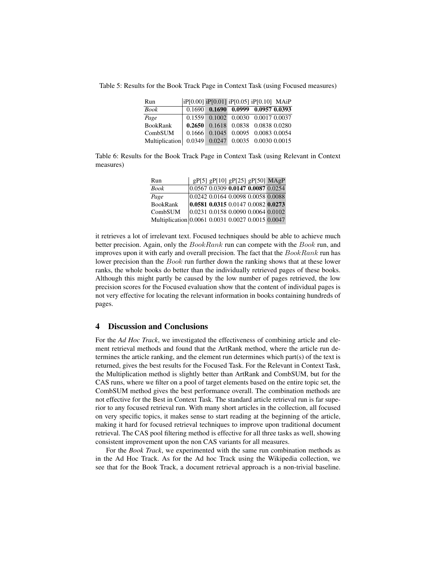<span id="page-10-1"></span>Table 5: Results for the Book Track Page in Context Task (using Focused measures)

| Run                                               | iP[0.00] iP[0.01] iP[0.05] iP[0.10] MAiP |  |                                              |  |
|---------------------------------------------------|------------------------------------------|--|----------------------------------------------|--|
| <b>Book</b>                                       |                                          |  | 0.1690 0.1690 0.0999 0.0957 0.0393           |  |
| Page                                              |                                          |  | $0.1559$ $0.1002$ $0.0030$ $0.0017$ $0.0037$ |  |
| <b>BookRank</b>                                   |                                          |  | 0.2650 0.1618 0.0838 0.0838 0.0280           |  |
| CombSUM                                           |                                          |  | 0.1666 0.1045 0.0095 0.0083 0.0054           |  |
| Multiplication 0.0349 0.0247 0.0035 0.0030 0.0015 |                                          |  |                                              |  |

<span id="page-10-2"></span>Table 6: Results for the Book Track Page in Context Task (using Relevant in Context measures)

| Run                                               |  | $gP[5]$ $gP[10]$ $gP[25]$ $gP[50]$ MAgP      |                                    |
|---------------------------------------------------|--|----------------------------------------------|------------------------------------|
| <b>Book</b>                                       |  |                                              | 0.0567 0.0309 0.0147 0.0087 0.0254 |
| Page                                              |  | $0.0242$ $0.0164$ $0.0098$ $0.0058$ $0.0088$ |                                    |
| <b>BookRank</b>                                   |  | 0.0581 0.0315 0.0147 0.0082 0.0273           |                                    |
| CombSUM                                           |  | 0.0231 0.0158 0.0090 0.0064 0.0102           |                                    |
| Multiplication 0.0061 0.0031 0.0027 0.0015 0.0047 |  |                                              |                                    |

it retrieves a lot of irrelevant text. Focused techniques should be able to achieve much better precision. Again, only the BookRank run can compete with the Book run, and improves upon it with early and overall precision. The fact that the  $BookRank$  run has lower precision than the *Book* run further down the ranking shows that at these lower ranks, the whole books do better than the individually retrieved pages of these books. Although this might partly be caused by the low number of pages retrieved, the low precision scores for the Focused evaluation show that the content of individual pages is not very effective for locating the relevant information in books containing hundreds of pages.

# <span id="page-10-0"></span>4 Discussion and Conclusions

For the *Ad Hoc Track*, we investigated the effectiveness of combining article and element retrieval methods and found that the ArtRank method, where the article run determines the article ranking, and the element run determines which part(s) of the text is returned, gives the best results for the Focused Task. For the Relevant in Context Task, the Multiplication method is slightly better than ArtRank and CombSUM, but for the CAS runs, where we filter on a pool of target elements based on the entire topic set, the CombSUM method gives the best performance overall. The combination methods are not effective for the Best in Context Task. The standard article retrieval run is far superior to any focused retrieval run. With many short articles in the collection, all focused on very specific topics, it makes sense to start reading at the beginning of the article, making it hard for focused retrieval techniques to improve upon traditional document retrieval. The CAS pool filtering method is effective for all three tasks as well, showing consistent improvement upon the non CAS variants for all measures.

For the *Book Track*, we experimented with the same run combination methods as in the Ad Hoc Track. As for the Ad hoc Track using the Wikipedia collection, we see that for the Book Track, a document retrieval approach is a non-trivial baseline.